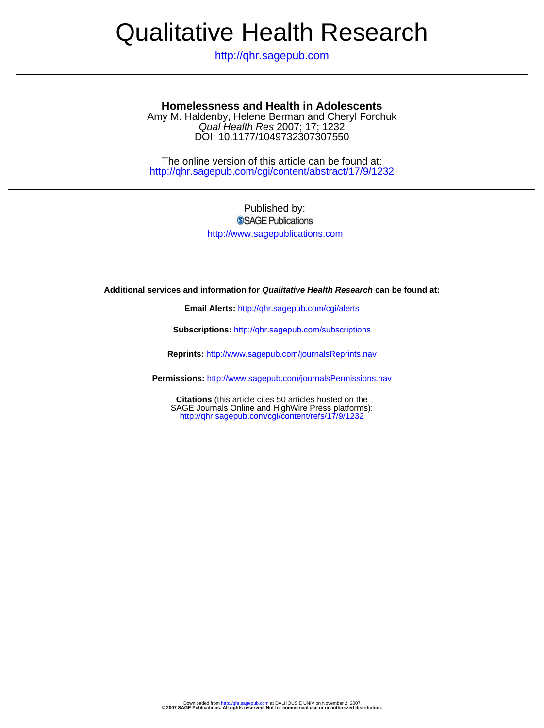# Qualitative Health Research

http://qhr.sagepub.com

#### DOI: 10.1177/1049732307307550 Qual Health Res 2007; 17; 1232 Amy M. Haldenby, Helene Berman and Cheryl Forchuk **Homelessness and Health in Adolescents**

http://qhr.sagepub.com/cgi/content/abstract/17/9/1232 The online version of this article can be found at:

> Published by: SSAGE Publications http://www.sagepublications.com

**Additional services and information for Qualitative Health Research can be found at:**

**Email Alerts:** <http://qhr.sagepub.com/cgi/alerts>

**Subscriptions:** <http://qhr.sagepub.com/subscriptions>

**Reprints:** <http://www.sagepub.com/journalsReprints.nav>

**Permissions:** <http://www.sagepub.com/journalsPermissions.nav>

<http://qhr.sagepub.com/cgi/content/refs/17/9/1232> SAGE Journals Online and HighWire Press platforms): **Citations** (this article cites 50 articles hosted on the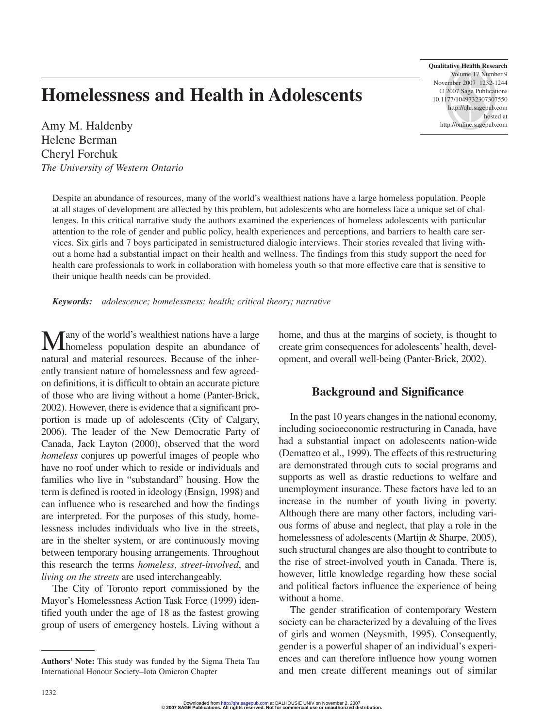# **Homelessness and Health in Adolescents**

**Qualitative Health Research** Volume 17 Number 9 November 2007 1232-1244 © 2007 Sage Publications 10.1177/1049732307307550 http://qhr.sagepub.com hosted at http://online.sagepub.com

Amy M. Haldenby Helene Berman Cheryl Forchuk *The University of Western Ontario*

Despite an abundance of resources, many of the world's wealthiest nations have a large homeless population. People at all stages of development are affected by this problem, but adolescents who are homeless face a unique set of challenges. In this critical narrative study the authors examined the experiences of homeless adolescents with particular attention to the role of gender and public policy, health experiences and perceptions, and barriers to health care services. Six girls and 7 boys participated in semistructured dialogic interviews. Their stories revealed that living without a home had a substantial impact on their health and wellness. The findings from this study support the need for health care professionals to work in collaboration with homeless youth so that more effective care that is sensitive to their unique health needs can be provided.

*Keywords: adolescence; homelessness; health; critical theory; narrative*

Many of the world's wealthiest nations have a large homeless population despite an abundance of natural and material resources. Because of the inherently transient nature of homelessness and few agreedon definitions, it is difficult to obtain an accurate picture of those who are living without a home (Panter-Brick, 2002). However, there is evidence that a significant proportion is made up of adolescents (City of Calgary, 2006). The leader of the New Democratic Party of Canada, Jack Layton (2000), observed that the word *homeless* conjures up powerful images of people who have no roof under which to reside or individuals and families who live in "substandard" housing. How the term is defined is rooted in ideology (Ensign, 1998) and can influence who is researched and how the findings are interpreted. For the purposes of this study, homelessness includes individuals who live in the streets, are in the shelter system, or are continuously moving between temporary housing arrangements. Throughout this research the terms *homeless*, *street-involved*, and *living on the streets* are used interchangeably.

The City of Toronto report commissioned by the Mayor's Homelessness Action Task Force (1999) identified youth under the age of 18 as the fastest growing group of users of emergency hostels. Living without a

home, and thus at the margins of society, is thought to create grim consequences for adolescents' health, development, and overall well-being (Panter-Brick, 2002).

# **Background and Significance**

In the past 10 years changes in the national economy, including socioeconomic restructuring in Canada, have had a substantial impact on adolescents nation-wide (Dematteo et al., 1999). The effects of this restructuring are demonstrated through cuts to social programs and supports as well as drastic reductions to welfare and unemployment insurance. These factors have led to an increase in the number of youth living in poverty. Although there are many other factors, including various forms of abuse and neglect, that play a role in the homelessness of adolescents (Martijn & Sharpe, 2005), such structural changes are also thought to contribute to the rise of street-involved youth in Canada. There is, however, little knowledge regarding how these social and political factors influence the experience of being without a home.

The gender stratification of contemporary Western society can be characterized by a devaluing of the lives of girls and women (Neysmith, 1995). Consequently, gender is a powerful shaper of an individual's experiences and can therefore influence how young women and men create different meanings out of similar

**Authors' Note:** This study was funded by the Sigma Theta Tau International Honour Society–Iota Omicron Chapter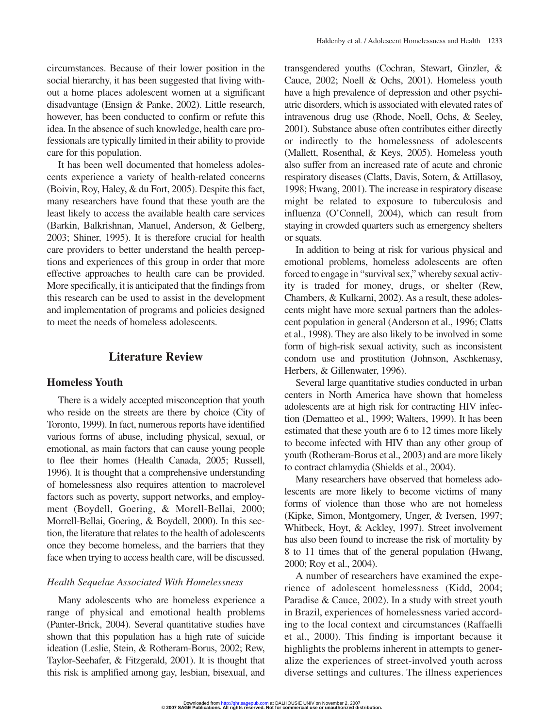circumstances. Because of their lower position in the social hierarchy, it has been suggested that living without a home places adolescent women at a significant disadvantage (Ensign & Panke, 2002). Little research, however, has been conducted to confirm or refute this idea. In the absence of such knowledge, health care professionals are typically limited in their ability to provide care for this population.

It has been well documented that homeless adolescents experience a variety of health-related concerns (Boivin, Roy, Haley, & du Fort, 2005). Despite this fact, many researchers have found that these youth are the least likely to access the available health care services (Barkin, Balkrishnan, Manuel, Anderson, & Gelberg, 2003; Shiner, 1995). It is therefore crucial for health care providers to better understand the health perceptions and experiences of this group in order that more effective approaches to health care can be provided. More specifically, it is anticipated that the findings from this research can be used to assist in the development and implementation of programs and policies designed to meet the needs of homeless adolescents.

#### **Literature Review**

#### **Homeless Youth**

There is a widely accepted misconception that youth who reside on the streets are there by choice (City of Toronto, 1999). In fact, numerous reports have identified various forms of abuse, including physical, sexual, or emotional, as main factors that can cause young people to flee their homes (Health Canada, 2005; Russell, 1996). It is thought that a comprehensive understanding of homelessness also requires attention to macrolevel factors such as poverty, support networks, and employment (Boydell, Goering, & Morell-Bellai, 2000; Morrell-Bellai, Goering, & Boydell, 2000). In this section, the literature that relates to the health of adolescents once they become homeless, and the barriers that they face when trying to access health care, will be discussed.

#### *Health Sequelae Associated With Homelessness*

Many adolescents who are homeless experience a range of physical and emotional health problems (Panter-Brick, 2004). Several quantitative studies have shown that this population has a high rate of suicide ideation (Leslie, Stein, & Rotheram-Borus, 2002; Rew, Taylor-Seehafer, & Fitzgerald, 2001). It is thought that this risk is amplified among gay, lesbian, bisexual, and transgendered youths (Cochran, Stewart, Ginzler, & Cauce, 2002; Noell & Ochs, 2001). Homeless youth have a high prevalence of depression and other psychiatric disorders, which is associated with elevated rates of intravenous drug use (Rhode, Noell, Ochs, & Seeley, 2001). Substance abuse often contributes either directly or indirectly to the homelessness of adolescents (Mallett, Rosenthal, & Keys, 2005). Homeless youth also suffer from an increased rate of acute and chronic respiratory diseases (Clatts, Davis, Sotern, & Attillasoy, 1998; Hwang, 2001). The increase in respiratory disease might be related to exposure to tuberculosis and influenza (O'Connell, 2004), which can result from staying in crowded quarters such as emergency shelters or squats.

In addition to being at risk for various physical and emotional problems, homeless adolescents are often forced to engage in "survival sex," whereby sexual activity is traded for money, drugs, or shelter (Rew, Chambers, & Kulkarni, 2002). As a result, these adolescents might have more sexual partners than the adolescent population in general (Anderson et al., 1996; Clatts et al., 1998). They are also likely to be involved in some form of high-risk sexual activity, such as inconsistent condom use and prostitution (Johnson, Aschkenasy, Herbers, & Gillenwater, 1996).

Several large quantitative studies conducted in urban centers in North America have shown that homeless adolescents are at high risk for contracting HIV infection (Dematteo et al., 1999; Walters, 1999). It has been estimated that these youth are 6 to 12 times more likely to become infected with HIV than any other group of youth (Rotheram-Borus et al., 2003) and are more likely to contract chlamydia (Shields et al., 2004).

Many researchers have observed that homeless adolescents are more likely to become victims of many forms of violence than those who are not homeless (Kipke, Simon, Montgomery, Unger, & Iversen, 1997; Whitbeck, Hoyt, & Ackley, 1997). Street involvement has also been found to increase the risk of mortality by 8 to 11 times that of the general population (Hwang, 2000; Roy et al., 2004).

A number of researchers have examined the experience of adolescent homelessness (Kidd, 2004; Paradise & Cauce, 2002). In a study with street youth in Brazil, experiences of homelessness varied according to the local context and circumstances (Raffaelli et al., 2000). This finding is important because it highlights the problems inherent in attempts to generalize the experiences of street-involved youth across diverse settings and cultures. The illness experiences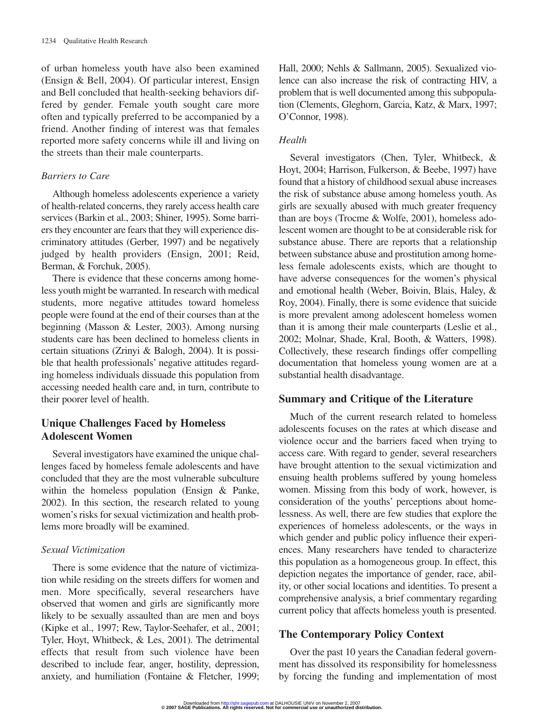of urban homeless youth have also been examined (Ensign & Bell, 2004). Of particular interest, Ensign and Bell concluded that health-seeking behaviors differed by gender. Female youth sought care more often and typically preferred to be accompanied by a friend. Another finding of interest was that females reported more safety concerns while ill and living on the streets than their male counterparts.

#### *Barriers to Care*

Although homeless adolescents experience a variety of health-related concerns, they rarely access health care services (Barkin et al., 2003; Shiner, 1995). Some barriers they encounter are fears that they will experience discriminatory attitudes (Gerber, 1997) and be negatively judged by health providers (Ensign, 2001; Reid, Berman, & Forchuk, 2005).

There is evidence that these concerns among homeless youth might be warranted. In research with medical students, more negative attitudes toward homeless people were found at the end of their courses than at the beginning (Masson & Lester, 2003). Among nursing students care has been declined to homeless clients in certain situations (Zrinyi & Balogh, 2004). It is possible that health professionals' negative attitudes regarding homeless individuals dissuade this population from accessing needed health care and, in turn, contribute to their poorer level of health.

# **Unique Challenges Faced by Homeless Adolescent Women**

Several investigators have examined the unique challenges faced by homeless female adolescents and have concluded that they are the most vulnerable subculture within the homeless population (Ensign & Panke, 2002). In this section, the research related to young women's risks for sexual victimization and health problems more broadly will be examined.

#### *Sexual Victimization*

There is some evidence that the nature of victimization while residing on the streets differs for women and men. More specifically, several researchers have observed that women and girls are significantly more likely to be sexually assaulted than are men and boys (Kipke et al., 1997; Rew, Taylor-Seehafer, et al., 2001; Tyler, Hoyt, Whitbeck, & Les, 2001). The detrimental effects that result from such violence have been described to include fear, anger, hostility, depression, anxiety, and humiliation (Fontaine & Fletcher, 1999;

Hall, 2000; Nehls & Sallmann, 2005). Sexualized violence can also increase the risk of contracting HIV, a problem that is well documented among this subpopulation (Clements, Gleghorn, Garcia, Katz, & Marx, 1997; O'Connor, 1998).

#### *Health*

Several investigators (Chen, Tyler, Whitbeck, & Hoyt, 2004; Harrison, Fulkerson, & Beebe, 1997) have found that a history of childhood sexual abuse increases the risk of substance abuse among homeless youth. As girls are sexually abused with much greater frequency than are boys (Trocme & Wolfe, 2001), homeless adolescent women are thought to be at considerable risk for substance abuse. There are reports that a relationship between substance abuse and prostitution among homeless female adolescents exists, which are thought to have adverse consequences for the women's physical and emotional health (Weber, Boivin, Blais, Haley, & Roy, 2004). Finally, there is some evidence that suicide is more prevalent among adolescent homeless women than it is among their male counterparts (Leslie et al., 2002; Molnar, Shade, Kral, Booth, & Watters, 1998). Collectively, these research findings offer compelling documentation that homeless young women are at a substantial health disadvantage.

#### **Summary and Critique of the Literature**

Much of the current research related to homeless adolescents focuses on the rates at which disease and violence occur and the barriers faced when trying to access care. With regard to gender, several researchers have brought attention to the sexual victimization and ensuing health problems suffered by young homeless women. Missing from this body of work, however, is consideration of the youths' perceptions about homelessness. As well, there are few studies that explore the experiences of homeless adolescents, or the ways in which gender and public policy influence their experiences. Many researchers have tended to characterize this population as a homogeneous group. In effect, this depiction negates the importance of gender, race, ability, or other social locations and identities. To present a comprehensive analysis, a brief commentary regarding current policy that affects homeless youth is presented.

#### **The Contemporary Policy Context**

Over the past 10 years the Canadian federal government has dissolved its responsibility for homelessness by forcing the funding and implementation of most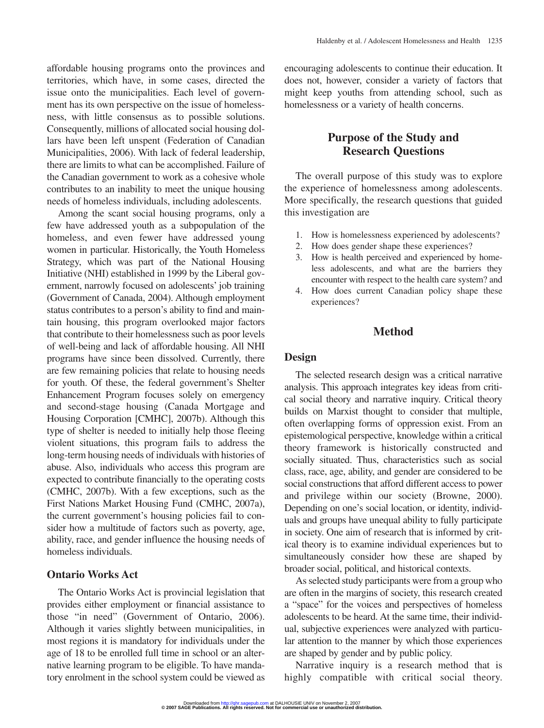affordable housing programs onto the provinces and territories, which have, in some cases, directed the issue onto the municipalities. Each level of government has its own perspective on the issue of homelessness, with little consensus as to possible solutions. Consequently, millions of allocated social housing dollars have been left unspent (Federation of Canadian Municipalities, 2006). With lack of federal leadership, there are limits to what can be accomplished. Failure of the Canadian government to work as a cohesive whole contributes to an inability to meet the unique housing needs of homeless individuals, including adolescents.

Among the scant social housing programs, only a few have addressed youth as a subpopulation of the homeless, and even fewer have addressed young women in particular. Historically, the Youth Homeless Strategy, which was part of the National Housing Initiative (NHI) established in 1999 by the Liberal government, narrowly focused on adolescents' job training (Government of Canada, 2004). Although employment status contributes to a person's ability to find and maintain housing, this program overlooked major factors that contribute to their homelessness such as poor levels of well-being and lack of affordable housing. All NHI programs have since been dissolved. Currently, there are few remaining policies that relate to housing needs for youth. Of these, the federal government's Shelter Enhancement Program focuses solely on emergency and second-stage housing (Canada Mortgage and Housing Corporation [CMHC], 2007b). Although this type of shelter is needed to initially help those fleeing violent situations, this program fails to address the long-term housing needs of individuals with histories of abuse. Also, individuals who access this program are expected to contribute financially to the operating costs (CMHC, 2007b). With a few exceptions, such as the First Nations Market Housing Fund (CMHC, 2007a), the current government's housing policies fail to consider how a multitude of factors such as poverty, age, ability, race, and gender influence the housing needs of homeless individuals.

#### **Ontario Works Act**

The Ontario Works Act is provincial legislation that provides either employment or financial assistance to those "in need" (Government of Ontario, 2006). Although it varies slightly between municipalities, in most regions it is mandatory for individuals under the age of 18 to be enrolled full time in school or an alternative learning program to be eligible. To have mandatory enrolment in the school system could be viewed as

encouraging adolescents to continue their education. It does not, however, consider a variety of factors that might keep youths from attending school, such as homelessness or a variety of health concerns.

# **Purpose of the Study and Research Questions**

The overall purpose of this study was to explore the experience of homelessness among adolescents. More specifically, the research questions that guided this investigation are

- 1. How is homelessness experienced by adolescents?
- 2. How does gender shape these experiences?
- 3. How is health perceived and experienced by homeless adolescents, and what are the barriers they encounter with respect to the health care system? and
- 4. How does current Canadian policy shape these experiences?

#### **Method**

#### **Design**

The selected research design was a critical narrative analysis. This approach integrates key ideas from critical social theory and narrative inquiry. Critical theory builds on Marxist thought to consider that multiple, often overlapping forms of oppression exist. From an epistemological perspective, knowledge within a critical theory framework is historically constructed and socially situated. Thus, characteristics such as social class, race, age, ability, and gender are considered to be social constructions that afford different access to power and privilege within our society (Browne, 2000). Depending on one's social location, or identity, individuals and groups have unequal ability to fully participate in society. One aim of research that is informed by critical theory is to examine individual experiences but to simultaneously consider how these are shaped by broader social, political, and historical contexts.

As selected study participants were from a group who are often in the margins of society, this research created a "space" for the voices and perspectives of homeless adolescents to be heard. At the same time, their individual, subjective experiences were analyzed with particular attention to the manner by which those experiences are shaped by gender and by public policy.

Narrative inquiry is a research method that is highly compatible with critical social theory.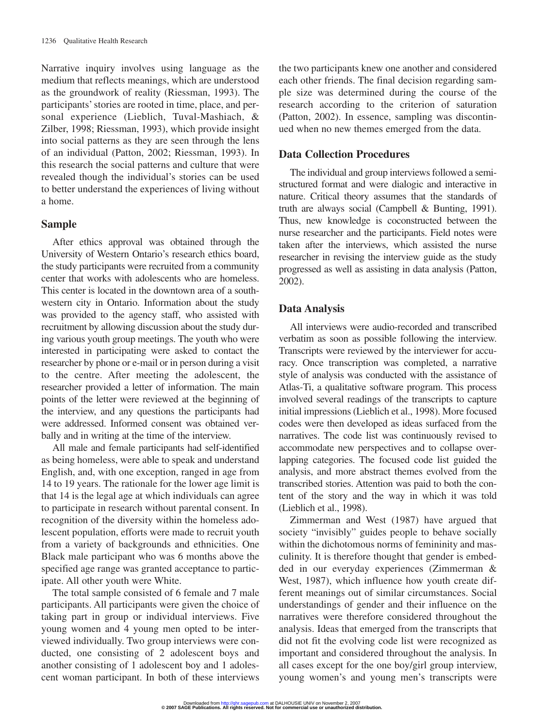Narrative inquiry involves using language as the medium that reflects meanings, which are understood as the groundwork of reality (Riessman, 1993). The participants' stories are rooted in time, place, and personal experience (Lieblich, Tuval-Mashiach, & Zilber, 1998; Riessman, 1993), which provide insight into social patterns as they are seen through the lens of an individual (Patton, 2002; Riessman, 1993). In this research the social patterns and culture that were revealed though the individual's stories can be used to better understand the experiences of living without a home.

#### **Sample**

After ethics approval was obtained through the University of Western Ontario's research ethics board, the study participants were recruited from a community center that works with adolescents who are homeless. This center is located in the downtown area of a southwestern city in Ontario. Information about the study was provided to the agency staff, who assisted with recruitment by allowing discussion about the study during various youth group meetings. The youth who were interested in participating were asked to contact the researcher by phone or e-mail or in person during a visit to the centre. After meeting the adolescent, the researcher provided a letter of information. The main points of the letter were reviewed at the beginning of the interview, and any questions the participants had were addressed. Informed consent was obtained verbally and in writing at the time of the interview.

All male and female participants had self-identified as being homeless, were able to speak and understand English, and, with one exception, ranged in age from 14 to 19 years. The rationale for the lower age limit is that 14 is the legal age at which individuals can agree to participate in research without parental consent. In recognition of the diversity within the homeless adolescent population, efforts were made to recruit youth from a variety of backgrounds and ethnicities. One Black male participant who was 6 months above the specified age range was granted acceptance to participate. All other youth were White.

The total sample consisted of 6 female and 7 male participants. All participants were given the choice of taking part in group or individual interviews. Five young women and 4 young men opted to be interviewed individually. Two group interviews were conducted, one consisting of 2 adolescent boys and another consisting of 1 adolescent boy and 1 adolescent woman participant. In both of these interviews

the two participants knew one another and considered each other friends. The final decision regarding sample size was determined during the course of the research according to the criterion of saturation (Patton, 2002). In essence, sampling was discontinued when no new themes emerged from the data.

#### **Data Collection Procedures**

The individual and group interviews followed a semistructured format and were dialogic and interactive in nature. Critical theory assumes that the standards of truth are always social (Campbell & Bunting, 1991). Thus, new knowledge is coconstructed between the nurse researcher and the participants. Field notes were taken after the interviews, which assisted the nurse researcher in revising the interview guide as the study progressed as well as assisting in data analysis (Patton, 2002).

# **Data Analysis**

All interviews were audio-recorded and transcribed verbatim as soon as possible following the interview. Transcripts were reviewed by the interviewer for accuracy. Once transcription was completed, a narrative style of analysis was conducted with the assistance of Atlas-Ti, a qualitative software program. This process involved several readings of the transcripts to capture initial impressions (Lieblich et al., 1998). More focused codes were then developed as ideas surfaced from the narratives. The code list was continuously revised to accommodate new perspectives and to collapse overlapping categories. The focused code list guided the analysis, and more abstract themes evolved from the transcribed stories. Attention was paid to both the content of the story and the way in which it was told (Lieblich et al., 1998).

Zimmerman and West (1987) have argued that society "invisibly" guides people to behave socially within the dichotomous norms of femininity and masculinity. It is therefore thought that gender is embedded in our everyday experiences (Zimmerman & West, 1987), which influence how youth create different meanings out of similar circumstances. Social understandings of gender and their influence on the narratives were therefore considered throughout the analysis. Ideas that emerged from the transcripts that did not fit the evolving code list were recognized as important and considered throughout the analysis. In all cases except for the one boy/girl group interview, young women's and young men's transcripts were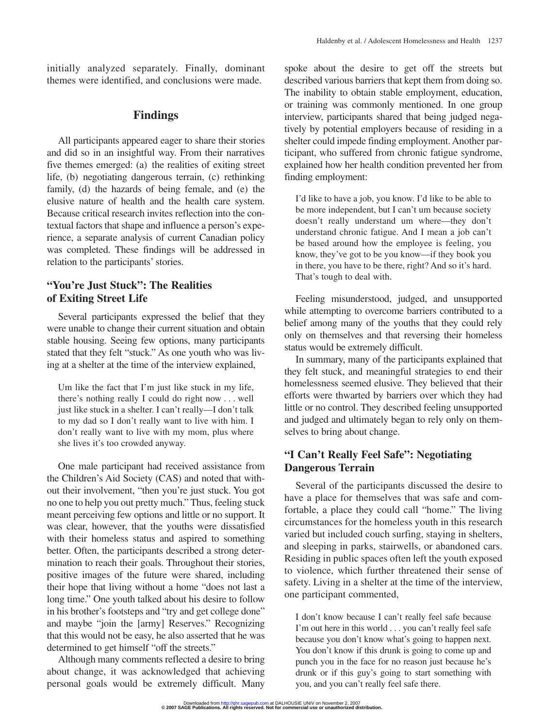initially analyzed separately. Finally, dominant themes were identified, and conclusions were made.

#### **Findings**

All participants appeared eager to share their stories and did so in an insightful way. From their narratives five themes emerged: (a) the realities of exiting street life, (b) negotiating dangerous terrain, (c) rethinking family, (d) the hazards of being female, and (e) the elusive nature of health and the health care system. Because critical research invites reflection into the contextual factors that shape and influence a person's experience, a separate analysis of current Canadian policy was completed. These findings will be addressed in relation to the participants' stories.

# **"You're Just Stuck": The Realities of Exiting Street Life**

Several participants expressed the belief that they were unable to change their current situation and obtain stable housing. Seeing few options, many participants stated that they felt "stuck." As one youth who was living at a shelter at the time of the interview explained,

Um like the fact that I'm just like stuck in my life, there's nothing really I could do right now . . . well just like stuck in a shelter. I can't really—I don't talk to my dad so I don't really want to live with him. I don't really want to live with my mom, plus where she lives it's too crowded anyway.

One male participant had received assistance from the Children's Aid Society (CAS) and noted that without their involvement, "then you're just stuck. You got no one to help you out pretty much." Thus, feeling stuck meant perceiving few options and little or no support. It was clear, however, that the youths were dissatisfied with their homeless status and aspired to something better. Often, the participants described a strong determination to reach their goals. Throughout their stories, positive images of the future were shared, including their hope that living without a home "does not last a long time." One youth talked about his desire to follow in his brother's footsteps and "try and get college done" and maybe "join the [army] Reserves." Recognizing that this would not be easy, he also asserted that he was determined to get himself "off the streets."

Although many comments reflected a desire to bring about change, it was acknowledged that achieving personal goals would be extremely difficult. Many

spoke about the desire to get off the streets but described various barriers that kept them from doing so. The inability to obtain stable employment, education, or training was commonly mentioned. In one group interview, participants shared that being judged negatively by potential employers because of residing in a shelter could impede finding employment. Another participant, who suffered from chronic fatigue syndrome, explained how her health condition prevented her from finding employment:

I'd like to have a job, you know. I'd like to be able to be more independent, but I can't um because society doesn't really understand um where—they don't understand chronic fatigue. And I mean a job can't be based around how the employee is feeling, you know, they've got to be you know—if they book you in there, you have to be there, right? And so it's hard. That's tough to deal with.

Feeling misunderstood, judged, and unsupported while attempting to overcome barriers contributed to a belief among many of the youths that they could rely only on themselves and that reversing their homeless status would be extremely difficult.

In summary, many of the participants explained that they felt stuck, and meaningful strategies to end their homelessness seemed elusive. They believed that their efforts were thwarted by barriers over which they had little or no control. They described feeling unsupported and judged and ultimately began to rely only on themselves to bring about change.

# **"I Can't Really Feel Safe": Negotiating Dangerous Terrain**

Several of the participants discussed the desire to have a place for themselves that was safe and comfortable, a place they could call "home." The living circumstances for the homeless youth in this research varied but included couch surfing, staying in shelters, and sleeping in parks, stairwells, or abandoned cars. Residing in public spaces often left the youth exposed to violence, which further threatened their sense of safety. Living in a shelter at the time of the interview, one participant commented,

I don't know because I can't really feel safe because I'm out here in this world . . . you can't really feel safe because you don't know what's going to happen next. You don't know if this drunk is going to come up and punch you in the face for no reason just because he's drunk or if this guy's going to start something with you, and you can't really feel safe there.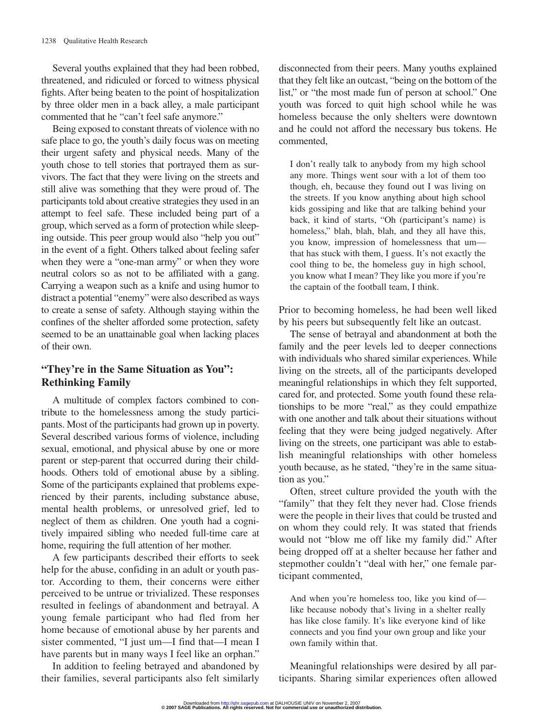Several youths explained that they had been robbed, threatened, and ridiculed or forced to witness physical fights. After being beaten to the point of hospitalization by three older men in a back alley, a male participant commented that he "can't feel safe anymore."

Being exposed to constant threats of violence with no safe place to go, the youth's daily focus was on meeting their urgent safety and physical needs. Many of the youth chose to tell stories that portrayed them as survivors. The fact that they were living on the streets and still alive was something that they were proud of. The participants told about creative strategies they used in an attempt to feel safe. These included being part of a group, which served as a form of protection while sleeping outside. This peer group would also "help you out" in the event of a fight. Others talked about feeling safer when they were a "one-man army" or when they wore neutral colors so as not to be affiliated with a gang. Carrying a weapon such as a knife and using humor to distract a potential "enemy" were also described as ways to create a sense of safety. Although staying within the confines of the shelter afforded some protection, safety seemed to be an unattainable goal when lacking places of their own.

# **"They're in the Same Situation as You": Rethinking Family**

A multitude of complex factors combined to contribute to the homelessness among the study participants. Most of the participants had grown up in poverty. Several described various forms of violence, including sexual, emotional, and physical abuse by one or more parent or step-parent that occurred during their childhoods. Others told of emotional abuse by a sibling. Some of the participants explained that problems experienced by their parents, including substance abuse, mental health problems, or unresolved grief, led to neglect of them as children. One youth had a cognitively impaired sibling who needed full-time care at home, requiring the full attention of her mother.

A few participants described their efforts to seek help for the abuse, confiding in an adult or youth pastor. According to them, their concerns were either perceived to be untrue or trivialized. These responses resulted in feelings of abandonment and betrayal. A young female participant who had fled from her home because of emotional abuse by her parents and sister commented, "I just um—I find that—I mean I have parents but in many ways I feel like an orphan."

In addition to feeling betrayed and abandoned by their families, several participants also felt similarly disconnected from their peers. Many youths explained that they felt like an outcast, "being on the bottom of the list," or "the most made fun of person at school." One youth was forced to quit high school while he was homeless because the only shelters were downtown and he could not afford the necessary bus tokens. He commented,

I don't really talk to anybody from my high school any more. Things went sour with a lot of them too though, eh, because they found out I was living on the streets. If you know anything about high school kids gossiping and like that are talking behind your back, it kind of starts, "Oh (participant's name) is homeless," blah, blah, blah, and they all have this, you know, impression of homelessness that um that has stuck with them, I guess. It's not exactly the cool thing to be, the homeless guy in high school, you know what I mean? They like you more if you're the captain of the football team, I think.

Prior to becoming homeless, he had been well liked by his peers but subsequently felt like an outcast.

The sense of betrayal and abandonment at both the family and the peer levels led to deeper connections with individuals who shared similar experiences. While living on the streets, all of the participants developed meaningful relationships in which they felt supported, cared for, and protected. Some youth found these relationships to be more "real," as they could empathize with one another and talk about their situations without feeling that they were being judged negatively. After living on the streets, one participant was able to establish meaningful relationships with other homeless youth because, as he stated, "they're in the same situation as you."

Often, street culture provided the youth with the "family" that they felt they never had. Close friends were the people in their lives that could be trusted and on whom they could rely. It was stated that friends would not "blow me off like my family did." After being dropped off at a shelter because her father and stepmother couldn't "deal with her," one female participant commented,

And when you're homeless too, like you kind of like because nobody that's living in a shelter really has like close family. It's like everyone kind of like connects and you find your own group and like your own family within that.

Meaningful relationships were desired by all participants. Sharing similar experiences often allowed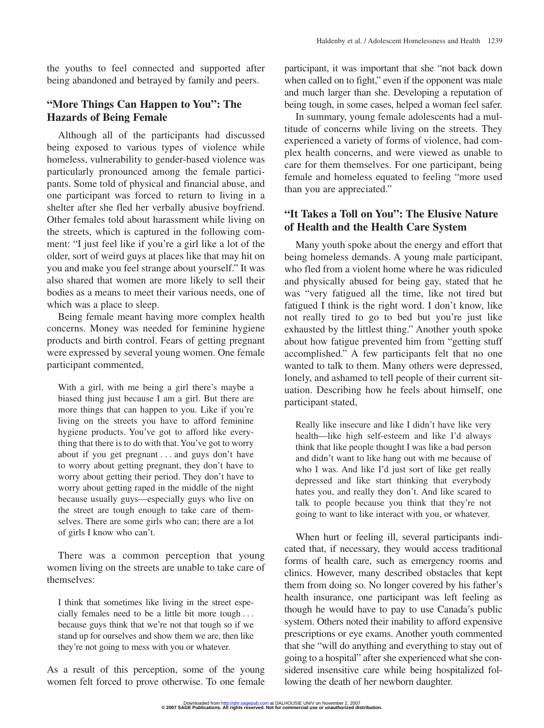the youths to feel connected and supported after being abandoned and betrayed by family and peers.

# **"More Things Can Happen to You": The Hazards of Being Female**

Although all of the participants had discussed being exposed to various types of violence while homeless, vulnerability to gender-based violence was particularly pronounced among the female participants. Some told of physical and financial abuse, and one participant was forced to return to living in a shelter after she fled her verbally abusive boyfriend. Other females told about harassment while living on the streets, which is captured in the following comment: "I just feel like if you're a girl like a lot of the older, sort of weird guys at places like that may hit on you and make you feel strange about yourself." It was also shared that women are more likely to sell their bodies as a means to meet their various needs, one of which was a place to sleep.

Being female meant having more complex health concerns. Money was needed for feminine hygiene products and birth control. Fears of getting pregnant were expressed by several young women. One female participant commented,

With a girl, with me being a girl there's maybe a biased thing just because I am a girl. But there are more things that can happen to you. Like if you're living on the streets you have to afford feminine hygiene products. You've got to afford like everything that there is to do with that. You've got to worry about if you get pregnant... and guys don't have to worry about getting pregnant, they don't have to worry about getting their period. They don't have to worry about getting raped in the middle of the night because usually guys—especially guys who live on the street are tough enough to take care of themselves. There are some girls who can; there are a lot of girls I know who can't.

There was a common perception that young women living on the streets are unable to take care of themselves:

I think that sometimes like living in the street especially females need to be a little bit more tough... because guys think that we're not that tough so if we stand up for ourselves and show them we are, then like they're not going to mess with you or whatever.

As a result of this perception, some of the young women felt forced to prove otherwise. To one female

participant, it was important that she "not back down when called on to fight," even if the opponent was male and much larger than she. Developing a reputation of being tough, in some cases, helped a woman feel safer.

In summary, young female adolescents had a multitude of concerns while living on the streets. They experienced a variety of forms of violence, had complex health concerns, and were viewed as unable to care for them themselves. For one participant, being female and homeless equated to feeling "more used than you are appreciated."

# **"It Takes a Toll on You": The Elusive Nature of Health and the Health Care System**

Many youth spoke about the energy and effort that being homeless demands. A young male participant, who fled from a violent home where he was ridiculed and physically abused for being gay, stated that he was "very fatigued all the time, like not tired but fatigued I think is the right word. I don't know, like not really tired to go to bed but you're just like exhausted by the littlest thing." Another youth spoke about how fatigue prevented him from "getting stuff accomplished." A few participants felt that no one wanted to talk to them. Many others were depressed, lonely, and ashamed to tell people of their current situation. Describing how he feels about himself, one participant stated,

Really like insecure and like I didn't have like very health—like high self-esteem and like I'd always think that like people thought I was like a bad person and didn't want to like hang out with me because of who I was. And like I'd just sort of like get really depressed and like start thinking that everybody hates you, and really they don't. And like scared to talk to people because you think that they're not going to want to like interact with you, or whatever.

When hurt or feeling ill, several participants indicated that, if necessary, they would access traditional forms of health care, such as emergency rooms and clinics. However, many described obstacles that kept them from doing so. No longer covered by his father's health insurance, one participant was left feeling as though he would have to pay to use Canada's public system. Others noted their inability to afford expensive prescriptions or eye exams. Another youth commented that she "will do anything and everything to stay out of going to a hospital" after she experienced what she considered insensitive care while being hospitalized following the death of her newborn daughter.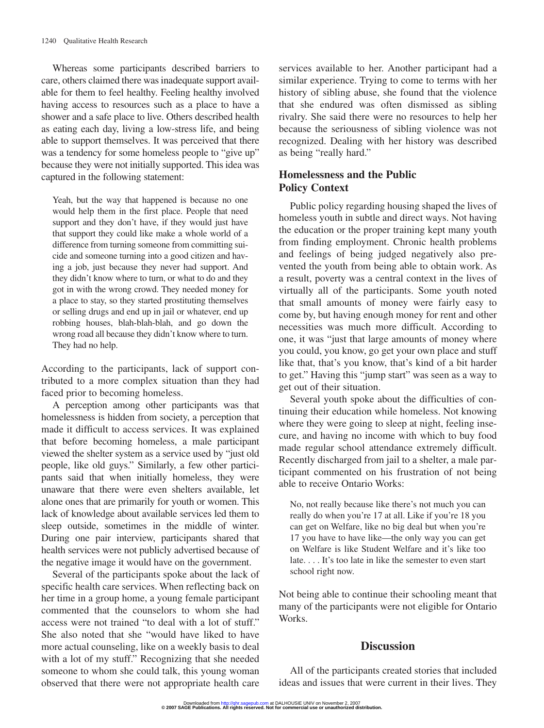Whereas some participants described barriers to care, others claimed there was inadequate support available for them to feel healthy. Feeling healthy involved having access to resources such as a place to have a shower and a safe place to live. Others described health as eating each day, living a low-stress life, and being able to support themselves. It was perceived that there was a tendency for some homeless people to "give up" because they were not initially supported. This idea was captured in the following statement:

Yeah, but the way that happened is because no one would help them in the first place. People that need support and they don't have, if they would just have that support they could like make a whole world of a difference from turning someone from committing suicide and someone turning into a good citizen and having a job, just because they never had support. And they didn't know where to turn, or what to do and they got in with the wrong crowd. They needed money for a place to stay, so they started prostituting themselves or selling drugs and end up in jail or whatever, end up robbing houses, blah-blah-blah, and go down the wrong road all because they didn't know where to turn. They had no help.

According to the participants, lack of support contributed to a more complex situation than they had faced prior to becoming homeless.

A perception among other participants was that homelessness is hidden from society, a perception that made it difficult to access services. It was explained that before becoming homeless, a male participant viewed the shelter system as a service used by "just old people, like old guys." Similarly, a few other participants said that when initially homeless, they were unaware that there were even shelters available, let alone ones that are primarily for youth or women. This lack of knowledge about available services led them to sleep outside, sometimes in the middle of winter. During one pair interview, participants shared that health services were not publicly advertised because of the negative image it would have on the government.

Several of the participants spoke about the lack of specific health care services. When reflecting back on her time in a group home, a young female participant commented that the counselors to whom she had access were not trained "to deal with a lot of stuff." She also noted that she "would have liked to have more actual counseling, like on a weekly basis to deal with a lot of my stuff." Recognizing that she needed someone to whom she could talk, this young woman observed that there were not appropriate health care

services available to her. Another participant had a similar experience. Trying to come to terms with her history of sibling abuse, she found that the violence that she endured was often dismissed as sibling rivalry. She said there were no resources to help her because the seriousness of sibling violence was not recognized. Dealing with her history was described as being "really hard."

# **Homelessness and the Public Policy Context**

Public policy regarding housing shaped the lives of homeless youth in subtle and direct ways. Not having the education or the proper training kept many youth from finding employment. Chronic health problems and feelings of being judged negatively also prevented the youth from being able to obtain work. As a result, poverty was a central context in the lives of virtually all of the participants. Some youth noted that small amounts of money were fairly easy to come by, but having enough money for rent and other necessities was much more difficult. According to one, it was "just that large amounts of money where you could, you know, go get your own place and stuff like that, that's you know, that's kind of a bit harder to get." Having this "jump start" was seen as a way to get out of their situation.

Several youth spoke about the difficulties of continuing their education while homeless. Not knowing where they were going to sleep at night, feeling insecure, and having no income with which to buy food made regular school attendance extremely difficult. Recently discharged from jail to a shelter, a male participant commented on his frustration of not being able to receive Ontario Works:

No, not really because like there's not much you can really do when you're 17 at all. Like if you're 18 you can get on Welfare, like no big deal but when you're 17 you have to have like—the only way you can get on Welfare is like Student Welfare and it's like too late. . . . It's too late in like the semester to even start school right now.

Not being able to continue their schooling meant that many of the participants were not eligible for Ontario Works.

#### **Discussion**

All of the participants created stories that included ideas and issues that were current in their lives. They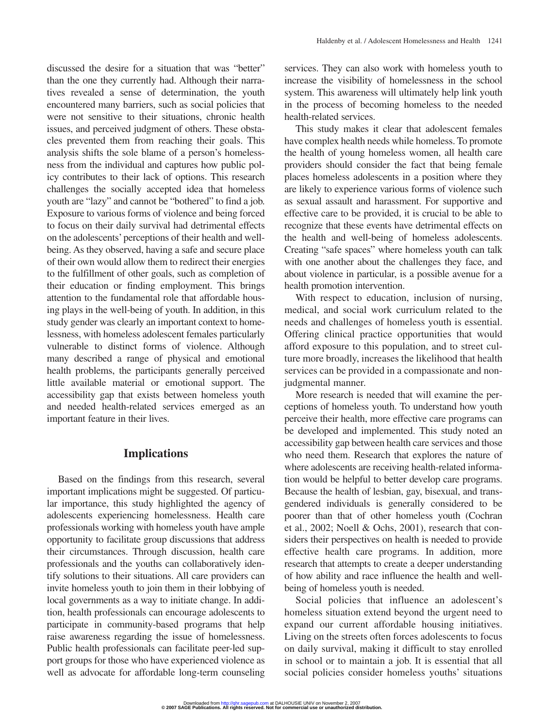discussed the desire for a situation that was "better" than the one they currently had. Although their narratives revealed a sense of determination, the youth encountered many barriers, such as social policies that were not sensitive to their situations, chronic health issues, and perceived judgment of others. These obstacles prevented them from reaching their goals. This analysis shifts the sole blame of a person's homelessness from the individual and captures how public policy contributes to their lack of options. This research challenges the socially accepted idea that homeless youth are "lazy" and cannot be "bothered" to find a job. Exposure to various forms of violence and being forced to focus on their daily survival had detrimental effects on the adolescents' perceptions of their health and wellbeing. As they observed, having a safe and secure place of their own would allow them to redirect their energies to the fulfillment of other goals, such as completion of their education or finding employment. This brings attention to the fundamental role that affordable housing plays in the well-being of youth. In addition, in this study gender was clearly an important context to homelessness, with homeless adolescent females particularly vulnerable to distinct forms of violence. Although many described a range of physical and emotional health problems, the participants generally perceived little available material or emotional support. The accessibility gap that exists between homeless youth and needed health-related services emerged as an important feature in their lives.

#### **Implications**

Based on the findings from this research, several important implications might be suggested. Of particular importance, this study highlighted the agency of adolescents experiencing homelessness. Health care professionals working with homeless youth have ample opportunity to facilitate group discussions that address their circumstances. Through discussion, health care professionals and the youths can collaboratively identify solutions to their situations. All care providers can invite homeless youth to join them in their lobbying of local governments as a way to initiate change. In addition, health professionals can encourage adolescents to participate in community-based programs that help raise awareness regarding the issue of homelessness. Public health professionals can facilitate peer-led support groups for those who have experienced violence as well as advocate for affordable long-term counseling

services. They can also work with homeless youth to increase the visibility of homelessness in the school system. This awareness will ultimately help link youth in the process of becoming homeless to the needed health-related services.

This study makes it clear that adolescent females have complex health needs while homeless. To promote the health of young homeless women, all health care providers should consider the fact that being female places homeless adolescents in a position where they are likely to experience various forms of violence such as sexual assault and harassment. For supportive and effective care to be provided, it is crucial to be able to recognize that these events have detrimental effects on the health and well-being of homeless adolescents. Creating "safe spaces" where homeless youth can talk with one another about the challenges they face, and about violence in particular, is a possible avenue for a health promotion intervention.

With respect to education, inclusion of nursing, medical, and social work curriculum related to the needs and challenges of homeless youth is essential. Offering clinical practice opportunities that would afford exposure to this population, and to street culture more broadly, increases the likelihood that health services can be provided in a compassionate and nonjudgmental manner.

More research is needed that will examine the perceptions of homeless youth. To understand how youth perceive their health, more effective care programs can be developed and implemented. This study noted an accessibility gap between health care services and those who need them. Research that explores the nature of where adolescents are receiving health-related information would be helpful to better develop care programs. Because the health of lesbian, gay, bisexual, and transgendered individuals is generally considered to be poorer than that of other homeless youth (Cochran et al., 2002; Noell & Ochs, 2001), research that considers their perspectives on health is needed to provide effective health care programs. In addition, more research that attempts to create a deeper understanding of how ability and race influence the health and wellbeing of homeless youth is needed.

Social policies that influence an adolescent's homeless situation extend beyond the urgent need to expand our current affordable housing initiatives. Living on the streets often forces adolescents to focus on daily survival, making it difficult to stay enrolled in school or to maintain a job. It is essential that all social policies consider homeless youths' situations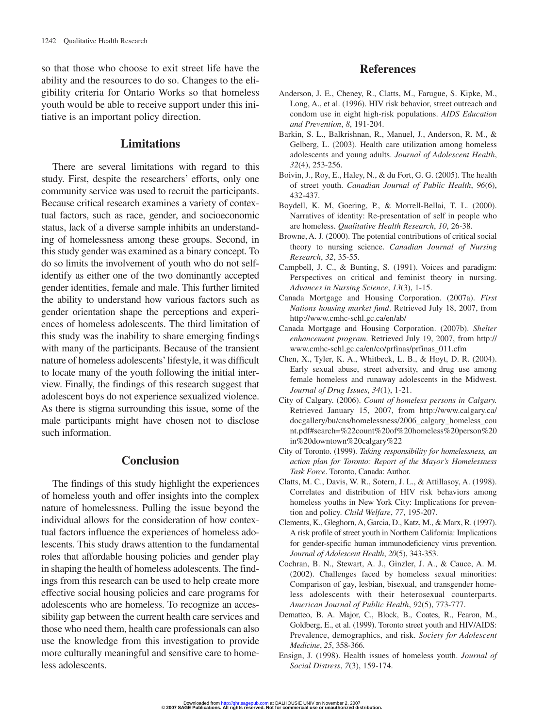so that those who choose to exit street life have the ability and the resources to do so. Changes to the eligibility criteria for Ontario Works so that homeless youth would be able to receive support under this initiative is an important policy direction.

#### **Limitations**

There are several limitations with regard to this study. First, despite the researchers' efforts, only one community service was used to recruit the participants. Because critical research examines a variety of contextual factors, such as race, gender, and socioeconomic status, lack of a diverse sample inhibits an understanding of homelessness among these groups. Second, in this study gender was examined as a binary concept. To do so limits the involvement of youth who do not selfidentify as either one of the two dominantly accepted gender identities, female and male. This further limited the ability to understand how various factors such as gender orientation shape the perceptions and experiences of homeless adolescents. The third limitation of this study was the inability to share emerging findings with many of the participants. Because of the transient nature of homeless adolescents'lifestyle, it was difficult to locate many of the youth following the initial interview. Finally, the findings of this research suggest that adolescent boys do not experience sexualized violence. As there is stigma surrounding this issue, some of the male participants might have chosen not to disclose such information.

#### **Conclusion**

The findings of this study highlight the experiences of homeless youth and offer insights into the complex nature of homelessness. Pulling the issue beyond the individual allows for the consideration of how contextual factors influence the experiences of homeless adolescents. This study draws attention to the fundamental roles that affordable housing policies and gender play in shaping the health of homeless adolescents. The findings from this research can be used to help create more effective social housing policies and care programs for adolescents who are homeless. To recognize an accessibility gap between the current health care services and those who need them, health care professionals can also use the knowledge from this investigation to provide more culturally meaningful and sensitive care to homeless adolescents.

#### **References**

- Anderson, J. E., Cheney, R., Clatts, M., Farugue, S. Kipke, M., Long, A., et al. (1996). HIV risk behavior, street outreach and condom use in eight high-risk populations. *AIDS Education and Prevention*, *8*, 191-204.
- Barkin, S. L., Balkrishnan, R., Manuel, J., Anderson, R. M., & Gelberg, L. (2003). Health care utilization among homeless adolescents and young adults. *Journal of Adolescent Health*, *32*(4), 253-256.
- Boivin, J., Roy, E., Haley, N., & du Fort, G. G. (2005). The health of street youth. *Canadian Journal of Public Health*, *96*(6), 432-437.
- Boydell, K. M, Goering, P., & Morrell-Bellai, T. L. (2000). Narratives of identity: Re-presentation of self in people who are homeless. *Qualitative Health Research*, *10*, 26-38.
- Browne, A. J. (2000). The potential contributions of critical social theory to nursing science. *Canadian Journal of Nursing Research*, *32*, 35-55.
- Campbell, J. C., & Bunting, S. (1991). Voices and paradigm: Perspectives on critical and feminist theory in nursing. *Advances in Nursing Science*, *13*(3), 1-15.
- Canada Mortgage and Housing Corporation. (2007a). *First Nations housing market fund*. Retrieved July 18, 2007, from http://www.cmhc-schl.gc.ca/en/ab/
- Canada Mortgage and Housing Corporation. (2007b). *Shelter enhancement program*. Retrieved July 19, 2007, from http:// www.cmhc-schl.gc.ca/en/co/prfinas/prfinas\_011.cfm
- Chen, X., Tyler, K. A., Whitbeck, L. B., & Hoyt, D. R. (2004). Early sexual abuse, street adversity, and drug use among female homeless and runaway adolescents in the Midwest. *Journal of Drug Issues*, *34*(1), 1-21.
- City of Calgary. (2006). *Count of homeless persons in Calgary.* Retrieved January 15, 2007, from http://www.calgary.ca/ docgallery/bu/cns/homelessness/2006\_calgary\_homeless\_cou nt.pdf#search=%22count%20of%20homeless%20person%20 in%20downtown%20calgary%22
- City of Toronto. (1999). *Taking responsibility for homelessness, an action plan for Toronto: Report of the Mayor's Homelessness Task Force*. Toronto, Canada: Author.
- Clatts, M. C., Davis, W. R., Sotern, J. L., & Attillasoy, A. (1998). Correlates and distribution of HIV risk behaviors among homeless youths in New York City: Implications for prevention and policy. *Child Welfare*, *77*, 195-207.
- Clements, K., Gleghorn, A, Garcia, D., Katz, M., & Marx, R. (1997). A risk profile of street youth in Northern California: Implications for gender-specific human immunodeficiency virus prevention. *Journal of Adolescent Health*, *20*(5), 343-353.
- Cochran, B. N., Stewart, A. J., Ginzler, J. A., & Cauce, A. M. (2002). Challenges faced by homeless sexual minorities: Comparison of gay, lesbian, bisexual, and transgender homeless adolescents with their heterosexual counterparts. *American Journal of Public Health*, *92*(5), 773-777.
- Dematteo, B. A. Major, C., Block, B., Coates, R., Fearon, M., Goldberg, E., et al. (1999). Toronto street youth and HIV/AIDS: Prevalence, demographics, and risk. *Society for Adolescent Medicine*, *25*, 358-366.
- Ensign, J. (1998). Health issues of homeless youth. *Journal of Social Distress*, *7*(3), 159-174.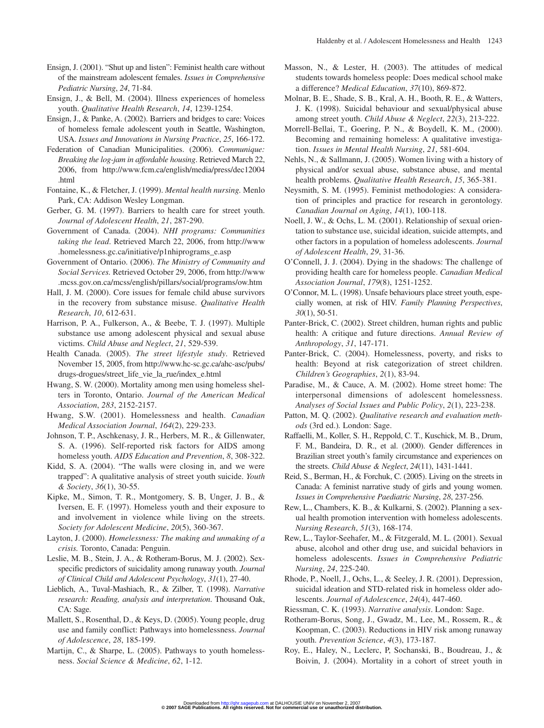- Ensign, J. (2001). "Shut up and listen": Feminist health care without of the mainstream adolescent females. *Issues in Comprehensive Pediatric Nursing*, *24*, 71-84.
- Ensign, J., & Bell, M. (2004). Illness experiences of homeless youth. *Qualitative Health Research*, *14*, 1239-1254.
- Ensign, J., & Panke, A. (2002). Barriers and bridges to care: Voices of homeless female adolescent youth in Seattle, Washington, USA. *Issues and Innovations in Nursing Practice*, *25*, 166-172.
- Federation of Canadian Municipalities. (2006). *Communique: Breaking the log-jam in affordable housing*. Retrieved March 22, 2006, from http://www.fcm.ca/english/media/press/dec12004 .html
- Fontaine, K., & Fletcher, J. (1999). *Mental health nursing.* Menlo Park, CA: Addison Wesley Longman.
- Gerber, G. M. (1997). Barriers to health care for street youth. *Journal of Adolescent Health*, *21*, 287-290.
- Government of Canada. (2004). *NHI programs: Communities taking the lead*. Retrieved March 22, 2006, from http://www .homelessness.gc.ca/initiative/p1nhiprograms\_e.asp
- Government of Ontario. (2006). *The Ministry of Community and Social Services.* Retrieved October 29, 2006, from http://www .mcss.gov.on.ca/mcss/english/pillars/social/programs/ow.htm
- Hall, J. M. (2000). Core issues for female child abuse survivors in the recovery from substance misuse. *Qualitative Health Research*, *10*, 612-631.
- Harrison, P. A., Fulkerson, A., & Beebe, T. J. (1997). Multiple substance use among adolescent physical and sexual abuse victims. *Child Abuse and Neglect*, *21*, 529-539.
- Health Canada. (2005). *The street lifestyle study*. Retrieved November 15, 2005, from http://www.hc-sc.gc.ca/ahc-asc/pubs/ drugs-drogues/street\_life\_vie\_la\_rue/index\_e.html
- Hwang, S. W. (2000). Mortality among men using homeless shelters in Toronto, Ontario. *Journal of the American Medical Association*, *283*, 2152-2157.
- Hwang, S.W. (2001). Homelessness and health. *Canadian Medical Association Journal*, *164*(2), 229-233.
- Johnson, T. P., Aschkenasy, J. R., Herbers, M. R., & Gillenwater, S. A. (1996). Self-reported risk factors for AIDS among homeless youth. *AIDS Education and Prevention*, *8*, 308-322.
- Kidd, S. A. (2004). "The walls were closing in, and we were trapped": A qualitative analysis of street youth suicide. *Youth & Society*, *36*(1), 30-55.
- Kipke, M., Simon, T. R., Montgomery, S. B, Unger, J. B., & Iversen, E. F. (1997). Homeless youth and their exposure to and involvement in violence while living on the streets. *Society for Adolescent Medicine*, *20*(5), 360-367.
- Layton, J. (2000). *Homelessness: The making and unmaking of a crisis.* Toronto, Canada: Penguin.
- Leslie, M. B., Stein, J. A., & Rotheram-Borus, M. J. (2002). Sexspecific predictors of suicidality among runaway youth. *Journal of Clinical Child and Adolescent Psychology*, *31*(1), 27-40.
- Lieblich, A., Tuval-Mashiach, R., & Zilber, T. (1998). *Narrative research: Reading, analysis and interpretation*. Thousand Oak, CA: Sage.
- Mallett, S., Rosenthal, D., & Keys, D. (2005). Young people, drug use and family conflict: Pathways into homelessness. *Journal of Adolescence*, *28*, 185-199.
- Martijn, C., & Sharpe, L. (2005). Pathways to youth homelessness. *Social Science & Medicine*, *62*, 1-12.
- Masson, N., & Lester, H. (2003). The attitudes of medical students towards homeless people: Does medical school make a difference? *Medical Education*, *37*(10), 869-872.
- Molnar, B. E., Shade, S. B., Kral, A. H., Booth, R. E., & Watters, J. K. (1998). Suicidal behaviour and sexual/physical abuse among street youth. *Child Abuse & Neglect*, *22*(3), 213-222.
- Morrell-Bellai, T., Goering, P. N., & Boydell, K. M., (2000). Becoming and remaining homeless: A qualitative investigation. *Issues in Mental Health Nursing*, *21*, 581-604.
- Nehls, N., & Sallmann, J. (2005). Women living with a history of physical and/or sexual abuse, substance abuse, and mental health problems. *Qualitative Health Research*, *15*, 365-381.
- Neysmith, S. M. (1995). Feminist methodologies: A consideration of principles and practice for research in gerontology. *Canadian Journal on Aging*, *14*(1), 100-118.
- Noell, J. W., & Ochs, L. M. (2001). Relationship of sexual orientation to substance use, suicidal ideation, suicide attempts, and other factors in a population of homeless adolescents. *Journal of Adolescent Health*, *29*, 31-36.
- O'Connell, J. J. (2004). Dying in the shadows: The challenge of providing health care for homeless people. *Canadian Medical Association Journal*, *179*(8), 1251-1252.
- O'Connor, M. L. (1998). Unsafe behaviours place street youth, especially women, at risk of HIV. *Family Planning Perspectives*, *30*(1), 50-51.
- Panter-Brick, C. (2002). Street children, human rights and public health: A critique and future directions. *Annual Review of Anthropology*, *31*, 147-171.
- Panter-Brick, C. (2004). Homelessness, poverty, and risks to health: Beyond at risk categorization of street children. *Children's Geographies*, *2*(1), 83-94.
- Paradise, M., & Cauce, A. M. (2002). Home street home: The interpersonal dimensions of adolescent homelessness. *Analyses of Social Issues and Public Policy*, *2*(1), 223-238.
- Patton, M. Q. (2002). *Qualitative research and evaluation methods* (3rd ed.)*.* London: Sage.
- Raffaelli, M., Koller, S. H., Reppold, C. T., Kuschick, M. B., Drum, F. M., Bandeira, D. R., et al. (2000). Gender differences in Brazilian street youth's family circumstance and experiences on the streets. *Child Abuse & Neglect*, *24*(11), 1431-1441.
- Reid, S., Berman, H., & Forchuk, C. (2005). Living on the streets in Canada: A feminist narrative study of girls and young women. *Issues in Comprehensive Paediatric Nursing*, *28*, 237-256.
- Rew, L., Chambers, K. B., & Kulkarni, S. (2002). Planning a sexual health promotion intervention with homeless adolescents. *Nursing Research*, *51*(3), 168-174.
- Rew, L., Taylor-Seehafer, M., & Fitzgerald, M. L. (2001). Sexual abuse, alcohol and other drug use, and suicidal behaviors in homeless adolescents. *Issues in Comprehensive Pediatric Nursing*, *24*, 225-240.
- Rhode, P., Noell, J., Ochs, L., & Seeley, J. R. (2001). Depression, suicidal ideation and STD-related risk in homeless older adolescents. *Journal of Adolescence*, *24*(4), 447-460.
- Riessman, C. K. (1993). *Narrative analysis*. London: Sage.
- Rotheram-Borus, Song, J., Gwadz, M., Lee, M., Rossem, R., & Koopman, C. (2003). Reductions in HIV risk among runaway youth. *Prevention Science*, *4*(3), 173-187.
- Roy, E., Haley, N., Leclerc, P, Sochanski, B., Boudreau, J., & Boivin, J. (2004). Mortality in a cohort of street youth in